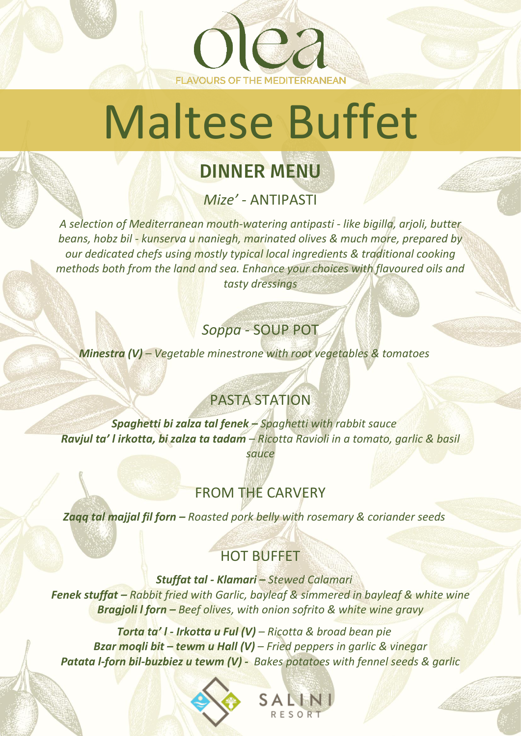Maltese Buffet

**FLAVOURS OF THE MEDITERRANEAN** 

e a

# DINNER MENU

*Mize' -* ANTIPASTI

*A selection of Mediterranean mouth-watering antipasti - like bigilla, arjoli, butter beans, hobz bil - kunserva u naniegh, marinated olives & much more, prepared by our dedicated chefs using mostly typical local ingredients & traditional cooking methods both from the land and sea. Enhance your choices with flavoured oils and tasty dressings*

#### *Soppa* - SOUP POT

*Minestra (V) – Vegetable minestrone with root vegetables & tomatoes*

## PASTA STATION

*Spaghetti bi zalza tal fenek – Spaghetti with rabbit sauce Ravjul ta' l irkotta, bi zalza ta tadam* – *Ricotta Ravioli in a tomato, garlic & basil sauce*

## FROM THE CARVERY

*Zaqq tal majjal fil forn – Roasted pork belly with rosemary & coriander seeds*

#### HOT BUFFET

*Stuffat tal - Klamari – Stewed Calamari Fenek stuffat – Rabbit fried with Garlic, bayleaf & simmered in bayleaf & white wine Bragjoli l forn – Beef olives, with onion sofrito & white wine gravy*

*Torta ta' l - Irkotta u Ful (V) – Ricotta & broad bean pie Bzar moqli bit – tewm u Hall (V)* – *Fried peppers in garlic & vinegar Patata l-forn bil-buzbiez u tewm (V) - Bakes potatoes with fennel seeds & garlic*

| S A |     |  |
|-----|-----|--|
|     | R E |  |
|     |     |  |